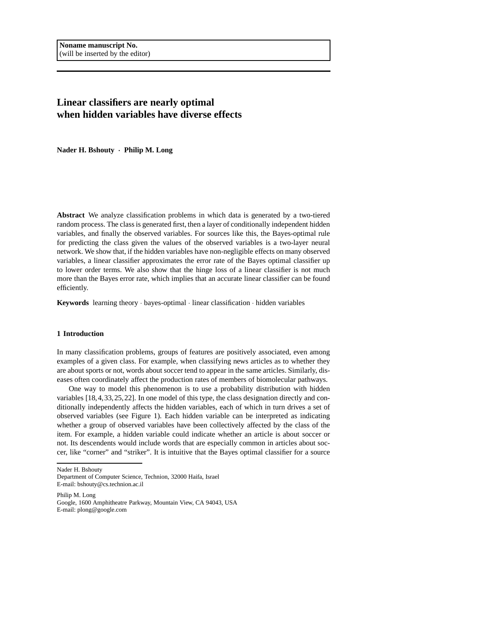# **Linear classifiers are nearly optimal when hidden variables have diverse effects**

**Nader H. Bshouty** · **Philip M. Long**

**Abstract** We analyze classification problems in which data is generated by a two-tiered random process. The class is generated first, then a layer of conditionally independent hidden variables, and finally the observed variables. For sources like this, the Bayes-optimal rule for predicting the class given the values of the observed variables is a two-layer neural network. We show that, if the hidden variables have non-negligible effects on many observed variables, a linear classifier approximates the error rate of the Bayes optimal classifier up to lower order terms. We also show that the hinge loss of a linear classifier is not much more than the Bayes error rate, which implies that an accurate linear classifier can be found efficiently.

**Keywords** learning theory · bayes-optimal · linear classification · hidden variables

# **1 Introduction**

In many classification problems, groups of features are positively associated, even among examples of a given class. For example, when classifying news articles as to whether they are about sports or not, words about soccer tend to appear in the same articles. Similarly, diseases often coordinately affect the production rates of members of biomolecular pathways.

One way to model this phenomenon is to use a probability distribution with hidden variables [18,4,33,25,22]. In one model of this type, the class designation directly and conditionally independently affects the hidden variables, each of which in turn drives a set of observed variables (see Figure 1). Each hidden variable can be interpreted as indicating whether a group of observed variables have been collectively affected by the class of the item. For example, a hidden variable could indicate whether an article is about soccer or not. Its descendents would include words that are especially common in articles about soccer, like "corner" and "striker". It is intuitive that the Bayes optimal classifier for a source

Nader H. Bshouty

Philip M. Long Google, 1600 Amphitheatre Parkway, Mountain View, CA 94043, USA E-mail: plong@google.com

Department of Computer Science, Technion, 32000 Haifa, Israel E-mail: bshouty@cs.technion.ac.il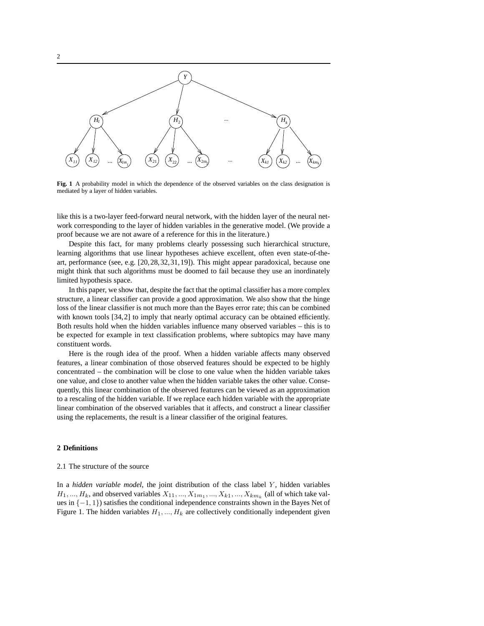

**Fig. 1** A probability model in which the dependence of the observed variables on the class designation is mediated by a layer of hidden variables.

like this is a two-layer feed-forward neural network, with the hidden layer of the neural network corresponding to the layer of hidden variables in the generative model. (We provide a proof because we are not aware of a reference for this in the literature.)

Despite this fact, for many problems clearly possessing such hierarchical structure, learning algorithms that use linear hypotheses achieve excellent, often even state-of-theart, performance (see, e.g. [20,28,32,31,19]). This might appear paradoxical, because one might think that such algorithms must be doomed to fail because they use an inordinately limited hypothesis space.

In this paper, we show that, despite the fact that the optimal classifier has a more complex structure, a linear classifier can provide a good approximation. We also show that the hinge loss of the linear classifier is not much more than the Bayes error rate; this can be combined with known tools [34,2] to imply that nearly optimal accuracy can be obtained efficiently. Both results hold when the hidden variables influence many observed variables – this is to be expected for example in text classification problems, where subtopics may have many constituent words.

Here is the rough idea of the proof. When a hidden variable affects many observed features, a linear combination of those observed features should be expected to be highly concentrated – the combination will be close to one value when the hidden variable takes one value, and close to another value when the hidden variable takes the other value. Consequently, this linear combination of the observed features can be viewed as an approximation to a rescaling of the hidden variable. If we replace each hidden variable with the appropriate linear combination of the observed variables that it affects, and construct a linear classifier using the replacements, the result is a linear classifier of the original features.

# **2 Definitions**

#### 2.1 The structure of the source

In a *hidden variable model*, the joint distribution of the class label Y , hidden variables  $H_1, ..., H_k$ , and observed variables  $X_{11}, ..., X_{1m_1}, ..., X_{k1}, ..., X_{km_k}$  (all of which take values in {−1, 1}) satisfies the conditional independence constraints shown in the Bayes Net of Figure 1. The hidden variables  $H_1, ..., H_k$  are collectively conditionally independent given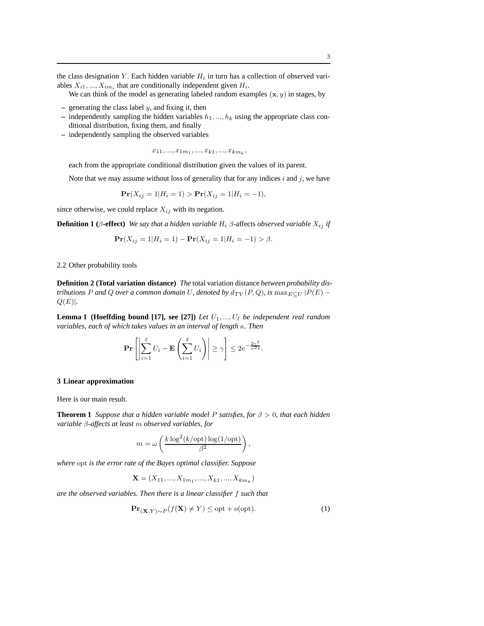the class designation Y. Each hidden variable  $H_i$  in turn has a collection of observed variables  $X_{i1}, ..., X_{im_i}$  that are conditionally independent given  $H_i$ .

We can think of the model as generating labeled random examples  $(x, y)$  in stages, by

- **–** generating the class label y, and fixing it, then
- $-$  independently sampling the hidden variables  $h_1, ..., h_k$  using the appropriate class conditional distribution, fixing them, and finally
- **–** independently sampling the observed variables

$$
x_{11},...,x_{1m_1},...,x_{k1},...,x_{km_k},\\
$$

each from the appropriate conditional distribution given the values of its parent.

Note that we may assume without loss of generality that for any indices  $i$  and  $j$ , we have

$$
\mathbf{Pr}(X_{ij} = 1 | H_i = 1) > \mathbf{Pr}(X_{ij} = 1 | H_i = -1),
$$

since otherwise, we could replace  $X_{ij}$  with its negation.

**Definition 1** ( $\beta$ -effect) *We say that a hidden variable*  $H_i$   $\beta$ -affects *observed variable*  $X_{ij}$  *if* 

$$
\mathbf{Pr}(X_{ij} = 1 | H_i = 1) - \mathbf{Pr}(X_{ij} = 1 | H_i = -1) > \beta.
$$

2.2 Other probability tools

**Definition 2 (Total variation distance)** *The* total variation distance *between probability distributions* P and Q *over a common domain* U, denoted by  $d_{TV}(P,Q)$ , is  $\max_{E \subset U} |P(E) Q(E)$ .

**Lemma 1 (Hoeffding bound [17], see [27])** *Let*  $U_1, ..., U_\ell$  *be independent real random variables, each of which takes values in an interval of length* κ*. Then*

$$
\Pr\left[\left|\sum_{i=1}^{\ell} U_i - \mathbf{E}\left(\sum_{i=1}^{\ell} U_i\right)\right| \geq \gamma\right] \leq 2e^{-\frac{2\gamma^2}{\kappa^2 \ell}}.
$$

#### **3 Linear approximation**

Here is our main result.

**Theorem 1** *Suppose that a hidden variable model P satisfies, for*  $\beta > 0$ *, that each hidden variable* β*-affects at least* m *observed variables, for*

$$
m = \omega \left(\frac{k \log^2(k/\text{opt}) \log(1/\text{opt})}{\beta^2}\right),
$$

*where* opt *is the error rate of the Bayes optimal classifier. Suppose*

$$
\mathbf{X} = (X_{11}, ..., X_{1m_1}, ..., X_{k1}, ..., X_{km_k})
$$

*are the observed variables. Then there is a linear classifier* f *such that*

$$
\mathbf{Pr}_{(\mathbf{X}, Y) \sim P}(f(\mathbf{X}) \neq Y) \leq \text{opt} + o(\text{opt}).\tag{1}
$$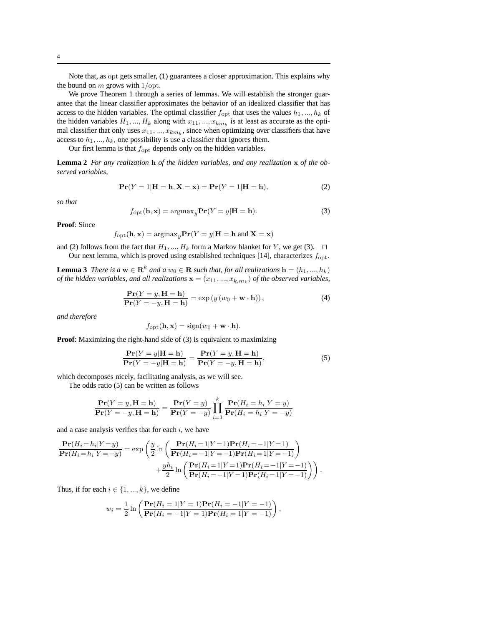Note that, as opt gets smaller, (1) guarantees a closer approximation. This explains why the bound on  $m$  grows with  $1$ /opt.

We prove Theorem 1 through a series of lemmas. We will establish the stronger guarantee that the linear classifier approximates the behavior of an idealized classifier that has access to the hidden variables. The optimal classifier  $f_{\text{opt}}$  that uses the values  $h_1, ..., h_k$  of the hidden variables  $H_1, ..., H_k$  along with  $x_{11}, ..., x_{km_k}$  is at least as accurate as the optimal classifier that only uses  $x_{11},...,x_{km_k}$ , since when optimizing over classifiers that have access to  $h_1, ..., h_k$ , one possibility is use a classifier that ignores them.

Our first lemma is that  $f_{\text{opt}}$  depends only on the hidden variables.

**Lemma 2** *For any realization* h *of the hidden variables, and any realization* x *of the observed variables,*

$$
Pr(Y = 1|H = h, X = x) = Pr(Y = 1|H = h),
$$
\n(2)

*so that*

$$
f_{\rm opt}(\mathbf{h}, \mathbf{x}) = \operatorname{argmax}_{y} \mathbf{Pr}(Y = y | \mathbf{H} = \mathbf{h}).
$$
 (3)

**Proof**: Since

$$
f_{\rm opt}({\bf h},{\bf x})={\rm argmax}_y {\bf Pr}(Y=y|{\bf H}={\bf h}~{\rm and}~{\bf X}={\bf x})
$$

and (2) follows from the fact that  $H_1, ..., H_k$  form a Markov blanket for Y, we get (3).  $\Box$ 

Our next lemma, which is proved using established techniques [14], characterizes  $f_{\text{opt}}$ .

**Lemma 3** *There is a*  $\mathbf{w} \in \mathbb{R}^k$  *and a*  $w_0 \in \mathbb{R}$  *such that, for all realizations*  $\mathbf{h} = (h_1, ..., h_k)$ *of the hidden variables, and all realizations*  $\mathbf{x} = (x_{11},...,x_{k,m_k})$  *of the observed variables,* 

$$
\frac{\mathbf{Pr}(Y = y, \mathbf{H} = \mathbf{h})}{\mathbf{Pr}(Y = -y, \mathbf{H} = \mathbf{h})} = \exp(y(w_0 + \mathbf{w} \cdot \mathbf{h})),
$$
\n(4)

*and therefore*

$$
f_{\rm opt}(\mathbf{h}, \mathbf{x}) = \text{sign}(w_0 + \mathbf{w} \cdot \mathbf{h}).
$$

**Proof:** Maximizing the right-hand side of (3) is equivalent to maximizing

$$
\frac{\mathbf{Pr}(Y=y|\mathbf{H}=\mathbf{h})}{\mathbf{Pr}(Y=-y|\mathbf{H}=\mathbf{h})} = \frac{\mathbf{Pr}(Y=y,\mathbf{H}=\mathbf{h})}{\mathbf{Pr}(Y=-y,\mathbf{H}=\mathbf{h})},
$$
\n(5)

which decomposes nicely, facilitating analysis, as we will see.

The odds ratio (5) can be written as follows

$$
\frac{\mathbf{Pr}(Y=y,\mathbf{H}=\mathbf{h})}{\mathbf{Pr}(Y=-y,\mathbf{H}=\mathbf{h})} = \frac{\mathbf{Pr}(Y=y)}{\mathbf{Pr}(Y=-y)} \prod_{i=1}^{k} \frac{\mathbf{Pr}(H_i=h_i|Y=y)}{\mathbf{Pr}(H_i=h_i|Y=-y)}
$$

and a case analysis verifies that for each  $i$ , we have

$$
\frac{\mathbf{Pr}(H_i = h_i | Y = y)}{\mathbf{Pr}(H_i = h_i | Y = -y)} = \exp\left(\frac{y}{2} \ln \left(\frac{\mathbf{Pr}(H_i = 1 | Y = 1) \mathbf{Pr}(H_i = -1 | Y = 1)}{\mathbf{Pr}(H_i = -1 | Y = -1) \mathbf{Pr}(H_i = 1 | Y = -1)}\right)\right) + \frac{yh_i}{2} \ln \left(\frac{\mathbf{Pr}(H_i = 1 | Y = 1) \mathbf{Pr}(H_i = -1 | Y = -1)}{\mathbf{Pr}(H_i = -1 | Y = 1) \mathbf{Pr}(H_i = 1 | Y = -1)}\right).
$$

Thus, if for each  $i \in \{1, ..., k\}$ , we define

$$
w_i = \frac{1}{2} \ln \left( \frac{\Pr(H_i = 1 | Y = 1) \Pr(H_i = -1 | Y = -1)}{\Pr(H_i = -1 | Y = 1) \Pr(H_i = 1 | Y = -1)} \right),
$$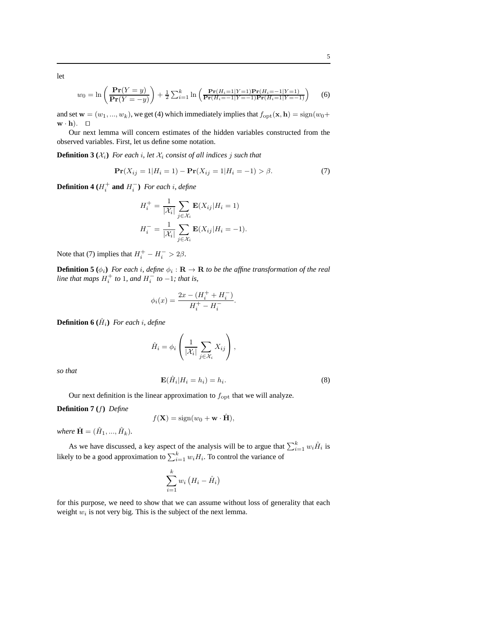let

$$
w_0 = \ln\left(\frac{\mathbf{Pr}(Y=y)}{\mathbf{Pr}(Y=-y)}\right) + \frac{1}{2}\sum_{i=1}^k \ln\left(\frac{\mathbf{Pr}(H_i=1|Y=1)\mathbf{Pr}(H_i=-1|Y=1)}{\mathbf{Pr}(H_i=-1|Y=-1)\mathbf{Pr}(H_i=1|Y=-1)}\right) \tag{6}
$$

and set  $\mathbf{w} = (w_1, ..., w_k)$ , we get (4) which immediately implies that  $f_{\text{opt}}(\mathbf{x}, \mathbf{h}) = \text{sign}(w_0 +$ w · h). ⊓⊔

Our next lemma will concern estimates of the hidden variables constructed from the observed variables. First, let us define some notation.

**Definition 3**  $(X_i)$  *For each i, let*  $X_i$  *consist of all indices j such that* 

$$
\mathbf{Pr}(X_{ij} = 1 | H_i = 1) - \mathbf{Pr}(X_{ij} = 1 | H_i = -1) > \beta.
$$
 (7)

**Definition 4** ( $H_i^+$  **and**  $H_i^-$ ) For each i, define

$$
H_i^+ = \frac{1}{|\mathcal{X}_i|} \sum_{j \in \mathcal{X}_i} \mathbf{E}(X_{ij}|H_i = 1)
$$
  

$$
H_i^- = \frac{1}{|\mathcal{X}_i|} \sum_{j \in \mathcal{X}_i} \mathbf{E}(X_{ij}|H_i = -1).
$$

Note that (7) implies that  $H_i^+ - H_i^- > 2\beta$ .

**Definition 5** ( $\phi_i$ ) For each *i*, define  $\phi_i : \mathbf{R} \to \mathbf{R}$  to be the affine transformation of the real *line that maps*  $H_i^+$  *to* 1*, and*  $H_i^-$  *to*  $-1$ *; that is,* 

$$
\phi_i(x) = \frac{2x - (H_i^+ + H_i^-)}{H_i^+ - H_i^-}.
$$

**Definition 6**  $(\hat{H}_i)$  For each i, define

$$
\hat{H}_i = \phi_i \left( \frac{1}{|\mathcal{X}_i|} \sum_{j \in \mathcal{X}_i} X_{ij} \right),
$$

*so that*

$$
\mathbf{E}(\hat{H}_i|H_i=h_i)=h_i.
$$
\n(8)

Our next definition is the linear approximation to  $f_{\text{opt}}$  that we will analyze.

**Definition 7 (**f**)** *Define*

$$
f(\mathbf{X}) = \text{sign}(w_0 + \mathbf{w} \cdot \hat{\mathbf{H}}),
$$

where  $\hat{\mathbf{H}} = (\hat{H}_1, ..., \hat{H}_k)$ .

As we have discussed, a key aspect of the analysis will be to argue that  $\sum_{i=1}^{k} w_i \hat{H}_i$  is likely to be a good approximation to  $\sum_{i=1}^{k} w_i H_i$ . To control the variance of

$$
\sum_{i=1}^{k} w_i \left( H_i - \hat{H}_i \right)
$$

for this purpose, we need to show that we can assume without loss of generality that each weight  $w_i$  is not very big. This is the subject of the next lemma.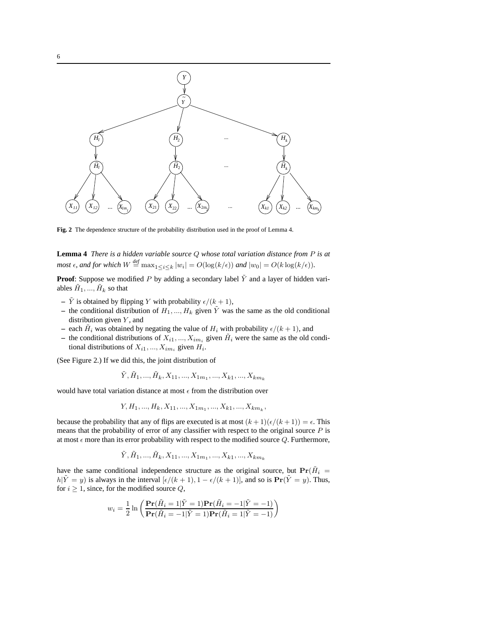

**Fig. 2** The dependence structure of the probability distribution used in the proof of Lemma 4.

**Lemma 4** *There is a hidden variable source* Q *whose total variation distance from* P *is at most*  $\epsilon$ , and for which  $W \stackrel{\text{def}}{=} \max_{1 \leq i \leq k} |w_i| = O(\log(k/\epsilon))$  and  $|w_0| = O(k \log(k/\epsilon))$ .

**Proof**: Suppose we modified P by adding a secondary label  $\tilde{Y}$  and a layer of hidden variables  $\tilde{H}_1, ..., \tilde{H}_k$  so that

- $\tilde{Y}$  is obtained by flipping Y with probability  $\epsilon/(k+1)$ ,
- the conditional distribution of  $H_1, ..., H_k$  given  $\tilde{Y}$  was the same as the old conditional distribution given  $Y$ , and
- each  $\tilde{H}_i$  was obtained by negating the value of  $H_i$  with probability  $\epsilon/(k+1)$ , and
- the conditional distributions of  $X_{i1},..., X_{im_i}$  given  $\tilde{H}_i$  were the same as the old conditional distributions of  $X_{i1}, ..., X_{im_i}$  given  $H_i$ .

(See Figure 2.) If we did this, the joint distribution of

 $\tilde{Y}, \tilde{H}_1, ..., \tilde{H}_k, X_{11}, ..., X_{1m_1}, ..., X_{k1}, ..., X_{km_k}$ 

would have total variation distance at most  $\epsilon$  from the distribution over

$$
Y, H_1, ..., H_k, X_{11}, ..., X_{1m_1}, ..., X_{k1}, ..., X_{km_k},
$$

because the probability that any of flips are executed is at most  $(k+1)(\epsilon/(k+1)) = \epsilon$ . This means that the probability of error of any classifier with respect to the original source  $P$  is at most  $\epsilon$  more than its error probability with respect to the modified source Q. Furthermore,

$$
\tilde{Y}, \tilde{H}_1,...,\tilde{H}_k, X_{11},...,X_{1m_1},...,X_{k1},...,X_{km_k}
$$

have the same conditional independence structure as the original source, but  $\Pr(\tilde{H}_i =$  $h|\tilde{Y} = y$  is always in the interval  $[\epsilon/(k+1), 1 - \epsilon/(k+1)]$ , and so is  $\Pr(\tilde{Y} = y)$ . Thus, for  $i \geq 1$ , since, for the modified source  $Q$ ,

$$
w_i = \frac{1}{2} \ln \left( \frac{\mathbf{Pr}(\tilde{H}_i = 1 | \tilde{Y} = 1) \mathbf{Pr}(\tilde{H}_i = -1 | \tilde{Y} = -1)}{\mathbf{Pr}(\tilde{H}_i = -1 | \tilde{Y} = 1) \mathbf{Pr}(\tilde{H}_i = 1 | \tilde{Y} = -1)} \right)
$$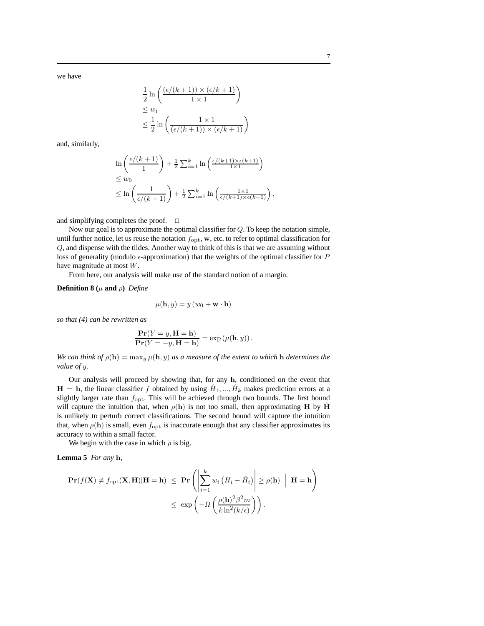we have

$$
\frac{1}{2}\ln\left(\frac{(\epsilon/(k+1))\times(\epsilon/k+1)}{1\times1}\right)
$$
  
\n
$$
\leq w_i
$$
  
\n
$$
\leq \frac{1}{2}\ln\left(\frac{1\times1}{(\epsilon/(k+1))\times(\epsilon/k+1)}\right)
$$

and, similarly,

$$
\ln\left(\frac{\epsilon/(k+1)}{1}\right) + \frac{1}{2}\sum_{i=1}^{k}\ln\left(\frac{\epsilon/(k+1)\times\epsilon(k+1)}{1\times1}\right)
$$
  
\n
$$
\leq w_0
$$
  
\n
$$
\leq \ln\left(\frac{1}{\epsilon/(k+1)}\right) + \frac{1}{2}\sum_{i=1}^{k}\ln\left(\frac{1\times1}{\epsilon/(k+1)\times\epsilon(k+1)}\right),
$$

and simplifying completes the proof. ⊓⊔

Now our goal is to approximate the optimal classifier for Q. To keep the notation simple, until further notice, let us reuse the notation  $f_{\text{opt}}$ , w, etc. to refer to optimal classification for Q, and dispense with the tildes. Another way to think of this is that we are assuming without loss of generality (modulo  $\epsilon$ -approximation) that the weights of the optimal classifier for P have magnitude at most W.

From here, our analysis will make use of the standard notion of a margin.

**Definition 8** ( $\mu$  **and**  $\rho$ ) *Define* 

$$
\mu(\mathbf{h}, y) = y \left( w_0 + \mathbf{w} \cdot \mathbf{h} \right)
$$

*so that (4) can be rewritten as*

$$
\frac{\mathbf{Pr}(Y=y, \mathbf{H}=\mathbf{h})}{\mathbf{Pr}(Y=-y, \mathbf{H}=\mathbf{h})} = \exp(\mu(\mathbf{h}, y)).
$$

*We can think of*  $\rho(\mathbf{h}) = \max_y \mu(\mathbf{h}, y)$  *as a measure of the extent to which* **h** *determines the value of* y*.*

Our analysis will proceed by showing that, for any h, conditioned on the event that  $H = h$ , the linear classifier f obtained by using  $\hat{H}_1, ..., \hat{H}_k$  makes prediction errors at a slightly larger rate than  $f_{\text{opt}}$ . This will be achieved through two bounds. The first bound will capture the intuition that, when  $\rho(h)$  is not too small, then approximating H by  $\hat{H}$ is unlikely to perturb correct classifications. The second bound will capture the intuition that, when  $\rho(\mathbf{h})$  is small, even  $f_{\text{opt}}$  is inaccurate enough that any classifier approximates its accuracy to within a small factor.

We begin with the case in which  $\rho$  is big.

**Lemma 5** *For any* h*,*

$$
\begin{aligned} \mathbf{Pr}(f(\mathbf{X}) \neq f_{\mathrm{opt}}(\mathbf{X}, \mathbf{H}) | \mathbf{H} = \mathbf{h}) &\leq \mathbf{Pr}\left( \left| \sum_{i=1}^{k} w_i \left( H_i - \hat{H}_i \right) \right| \geq \rho(\mathbf{h}) \mid \mathbf{H} = \mathbf{h} \right) \\ &\leq \exp\left( -\Omega\left( \frac{\rho(\mathbf{h})^2 \beta^2 m}{k \ln^2(k/\epsilon)} \right) \right). \end{aligned}
$$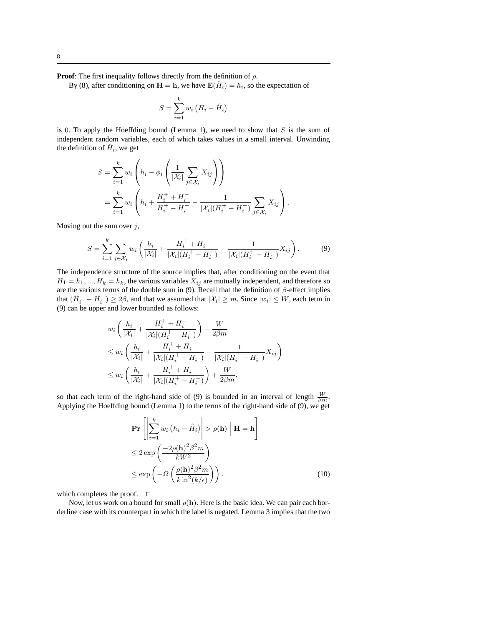**Proof:** The first inequality follows directly from the definition of  $\rho$ .

By (8), after conditioning on  $H = h$ , we have  $E(\hat{H}_i) = h_i$ , so the expectation of

$$
S = \sum_{i=1}^{k} w_i \left( H_i - \hat{H}_i \right)
$$

is 0. To apply the Hoeffding bound (Lemma 1), we need to show that  $S$  is the sum of independent random variables, each of which takes values in a small interval. Unwinding the definition of  $\hat{H}_i$ , we get

$$
S = \sum_{i=1}^{k} w_i \left( h_i - \phi_i \left( \frac{1}{|\mathcal{X}_i|} \sum_{j \in \mathcal{X}_i} X_{ij} \right) \right)
$$
  
= 
$$
\sum_{i=1}^{k} w_i \left( h_i + \frac{H_i^+ + H_i^-}{H_i^+ - H_i^-} - \frac{1}{|\mathcal{X}_i|(H_i^+ - H_i^-)} \sum_{j \in \mathcal{X}_i} X_{ij} \right).
$$

Moving out the sum over  $j$ ,

$$
S = \sum_{i=1}^{k} \sum_{j \in \mathcal{X}_i} w_i \left( \frac{h_i}{|\mathcal{X}_i|} + \frac{H_i^+ + H_i^-}{|\mathcal{X}_i|(H_i^+ - H_i^-)} - \frac{1}{|\mathcal{X}_i|(H_i^+ - H_i^-)} X_{ij} \right).
$$
(9)

The independence structure of the source implies that, after conditioning on the event that  $H_1 = h_1, ..., H_k = h_k$ , the various variables  $X_{ij}$  are mutually independent, and therefore so are the various terms of the double sum in (9). Recall that the definition of  $\beta$ -effect implies that  $(H_i^+ - H_i^-) \ge 2\beta$ , and that we assumed that  $|\mathcal{X}_i| \ge m$ . Since  $|w_i| \le W$ , each term in (9) can be upper and lower bounded as follows:

$$
w_i \left( \frac{h_i}{|\mathcal{X}_i|} + \frac{H_i^+ + H_i^-}{|\mathcal{X}_i| (H_i^+ - H_i^-)} \right) - \frac{W}{2\beta m}
$$
  
\n
$$
\leq w_i \left( \frac{h_i}{|\mathcal{X}_i|} + \frac{H_i^+ + H_i^-}{|\mathcal{X}_i| (H_i^+ - H_i^-)} - \frac{1}{|\mathcal{X}_i| (H_i^+ - H_i^-)} X_{ij} \right)
$$
  
\n
$$
\leq w_i \left( \frac{h_i}{|\mathcal{X}_i|} + \frac{H_i^+ + H_i^-}{|\mathcal{X}_i| (H_i^+ - H_i^-)} \right) + \frac{W}{2\beta m},
$$

so that each term of the right-hand side of (9) is bounded in an interval of length  $\frac{W}{\beta m}$ . Applying the Hoeffding bound (Lemma 1) to the terms of the right-hand side of (9), we get

$$
\mathbf{Pr}\left[\left|\sum_{i=1}^{k} w_i \left(h_i - \hat{H}_i\right)\right| > \rho(\mathbf{h}) \mid \mathbf{H} = \mathbf{h}\right]
$$
  
\n
$$
\leq 2 \exp\left(\frac{-2\rho(\mathbf{h})^2 \beta^2 m}{kW^2}\right)
$$
  
\n
$$
\leq \exp\left(-\Omega\left(\frac{\rho(\mathbf{h})^2 \beta^2 m}{k \ln^2(k/\epsilon)}\right)\right).
$$
 (10)

which completes the proof. ⊓⊔

Now, let us work on a bound for small  $\rho(h)$ . Here is the basic idea. We can pair each borderline case with its counterpart in which the label is negated. Lemma 3 implies that the two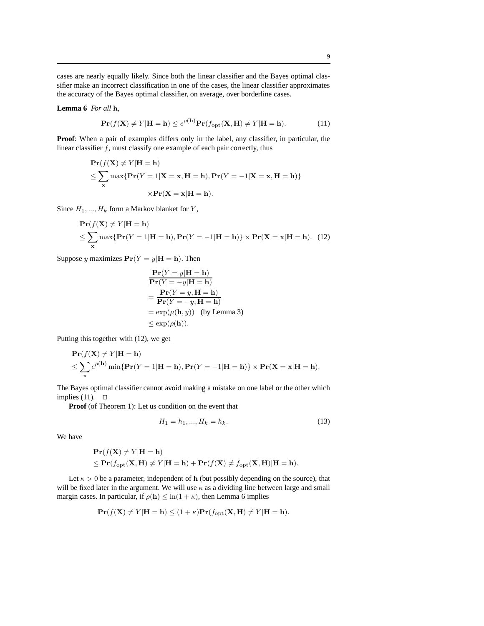cases are nearly equally likely. Since both the linear classifier and the Bayes optimal classifier make an incorrect classification in one of the cases, the linear classifier approximates the accuracy of the Bayes optimal classifier, on average, over borderline cases.

## **Lemma 6** *For all* h*,*

$$
\mathbf{Pr}(f(\mathbf{X}) \neq Y | \mathbf{H} = \mathbf{h}) \leq e^{\rho(\mathbf{h})} \mathbf{Pr}(f_{\text{opt}}(\mathbf{X}, \mathbf{H}) \neq Y | \mathbf{H} = \mathbf{h}).
$$
 (11)

**Proof**: When a pair of examples differs only in the label, any classifier, in particular, the linear classifier  $f$ , must classify one example of each pair correctly, thus

$$
\begin{aligned} \mathbf{Pr}(f(\mathbf{X}) \neq Y | \mathbf{H} = \mathbf{h}) \\ \leq \sum_{\mathbf{x}} \max \{ \mathbf{Pr}(Y = 1 | \mathbf{X} = \mathbf{x}, \mathbf{H} = \mathbf{h}), \mathbf{Pr}(Y = -1 | \mathbf{X} = \mathbf{x}, \mathbf{H} = \mathbf{h}) \} \\ \times \mathbf{Pr}(\mathbf{X} = \mathbf{x} | \mathbf{H} = \mathbf{h}). \end{aligned}
$$

Since  $H_1, ..., H_k$  form a Markov blanket for Y,

$$
\begin{aligned} &\mathbf{Pr}(f(\mathbf{X}) \neq Y | \mathbf{H} = \mathbf{h}) \\ &\leq \sum_{\mathbf{x}} \max \{ \mathbf{Pr}(Y = 1 | \mathbf{H} = \mathbf{h}), \mathbf{Pr}(Y = -1 | \mathbf{H} = \mathbf{h}) \} \times \mathbf{Pr}(\mathbf{X} = \mathbf{x} | \mathbf{H} = \mathbf{h}). \end{aligned} \tag{12}
$$

Suppose y maximizes  $Pr(Y = y | H = h)$ . Then

$$
\begin{aligned}\n\mathbf{Pr}(Y = y | \mathbf{H} = \mathbf{h}) \\
\mathbf{Pr}(Y = -y | \mathbf{H} = \mathbf{h}) \\
= \frac{\mathbf{Pr}(Y = y, \mathbf{H} = \mathbf{h})}{\mathbf{Pr}(Y = -y, \mathbf{H} = \mathbf{h})} \\
= \exp(\mu(\mathbf{h}, y)) \quad \text{(by Lemma 3)} \\
\le \exp(\rho(\mathbf{h})).\n\end{aligned}
$$

Putting this together with (12), we get

$$
\begin{aligned} &\mathbf{Pr}(f(\mathbf{X}) \neq Y | \mathbf{H} = \mathbf{h}) \\ &\leq \sum_{\mathbf{x}} e^{\rho(\mathbf{h})} \min \{ \mathbf{Pr}(Y = 1 | \mathbf{H} = \mathbf{h}), \mathbf{Pr}(Y = -1 | \mathbf{H} = \mathbf{h}) \} \times \mathbf{Pr}(\mathbf{X} = \mathbf{x} | \mathbf{H} = \mathbf{h}). \end{aligned}
$$

The Bayes optimal classifier cannot avoid making a mistake on one label or the other which implies (11).  $□$ 

**Proof** (of Theorem 1): Let us condition on the event that

$$
H_1 = h_1, ..., H_k = h_k. \tag{13}
$$

We have

$$
\begin{aligned} &\mathbf{Pr}(f(\mathbf{X}) \neq Y | \mathbf{H} = \mathbf{h}) \\ &\leq \mathbf{Pr}(f_{\rm opt}(\mathbf{X}, \mathbf{H}) \neq Y | \mathbf{H} = \mathbf{h}) + \mathbf{Pr}(f(\mathbf{X}) \neq f_{\rm opt}(\mathbf{X}, \mathbf{H}) | \mathbf{H} = \mathbf{h}). \end{aligned}
$$

Let  $\kappa > 0$  be a parameter, independent of h (but possibly depending on the source), that will be fixed later in the argument. We will use  $\kappa$  as a dividing line between large and small margin cases. In particular, if  $\rho(h) \leq \ln(1 + \kappa)$ , then Lemma 6 implies

$$
\mathbf{Pr}(f(\mathbf{X}) \neq Y | \mathbf{H} = \mathbf{h}) \leq (1 + \kappa) \mathbf{Pr}(f_{\text{opt}}(\mathbf{X}, \mathbf{H}) \neq Y | \mathbf{H} = \mathbf{h}).
$$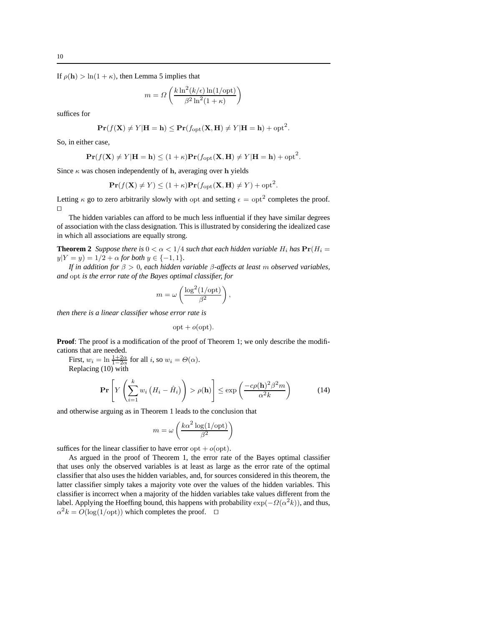If  $\rho(\mathbf{h}) > \ln(1 + \kappa)$ , then Lemma 5 implies that

$$
m = \Omega\left(\frac{k \ln^2(k/\epsilon) \ln(1/\text{opt})}{\beta^2 \ln^2(1+\kappa)}\right)
$$

suffices for

$$
\mathbf{Pr}(f(\mathbf{X}) \neq Y | \mathbf{H} = \mathbf{h}) \leq \mathbf{Pr}(f_{\rm opt}(\mathbf{X}, \mathbf{H}) \neq Y | \mathbf{H} = \mathbf{h}) + \mathbf{opt}^2.
$$

So, in either case,

$$
\mathbf{Pr}(f(\mathbf{X}) \neq Y | \mathbf{H} = \mathbf{h}) \leq (1 + \kappa) \mathbf{Pr}(f_{\rm opt}(\mathbf{X}, \mathbf{H}) \neq Y | \mathbf{H} = \mathbf{h}) + \mathbf{opt}^2.
$$

Since  $\kappa$  was chosen independently of h, averaging over h yields

$$
\mathbf{Pr}(f(\mathbf{X}) \neq Y) \le (1 + \kappa)\mathbf{Pr}(f_{\text{opt}}(\mathbf{X}, \mathbf{H}) \neq Y) + \text{opt}^2.
$$

Letting  $\kappa$  go to zero arbitrarily slowly with opt and setting  $\epsilon = \text{opt}^2$  completes the proof. ⊓⊔

The hidden variables can afford to be much less influential if they have similar degrees of association with the class designation. This is illustrated by considering the idealized case in which all associations are equally strong.

**Theorem 2** *Suppose there is*  $0 < \alpha < 1/4$  *such that each hidden variable*  $H_i$  *has*  $Pr(H_i =$  $y|Y = y$  = 1/2 +  $\alpha$  *for both*  $y \in \{-1, 1\}$ *.* 

*If in addition for* β > 0*, each hidden variable* β*-affects at least* m *observed variables, and* opt *is the error rate of the Bayes optimal classifier, for*

$$
m = \omega \left( \frac{\log^2(1/\text{opt})}{\beta^2} \right),
$$

*then there is a linear classifier whose error rate is*

 $opt + o(opt).$ 

**Proof**: The proof is a modification of the proof of Theorem 1; we only describe the modifications that are needed.

First,  $w_i = \ln \frac{1+2\alpha}{1-2\alpha}$  for all *i*, so  $w_i = \Theta(\alpha)$ .

Replacing (10) with

$$
\Pr\left[Y\left(\sum_{i=1}^{k} w_i \left(H_i - \hat{H}_i\right)\right) > \rho(\mathbf{h})\right] \le \exp\left(\frac{-c\rho(\mathbf{h})^2 \beta^2 m}{\alpha^2 k}\right) \tag{14}
$$

and otherwise arguing as in Theorem 1 leads to the conclusion that

$$
m = \omega \left( \frac{k\alpha^2 \log(1/\text{opt})}{\beta^2} \right)
$$

suffices for the linear classifier to have error opt  $+ o(\text{opt})$ .

As argued in the proof of Theorem 1, the error rate of the Bayes optimal classifier that uses only the observed variables is at least as large as the error rate of the optimal classifier that also uses the hidden variables, and, for sources considered in this theorem, the latter classifier simply takes a majority vote over the values of the hidden variables. This classifier is incorrect when a majority of the hidden variables take values different from the label. Applying the Hoeffing bound, this happens with probability  $\exp(-\Omega(\alpha^2 k))$ , and thus,  $\alpha^2 k = O(\log(1/\text{opt}))$  which completes the proof. □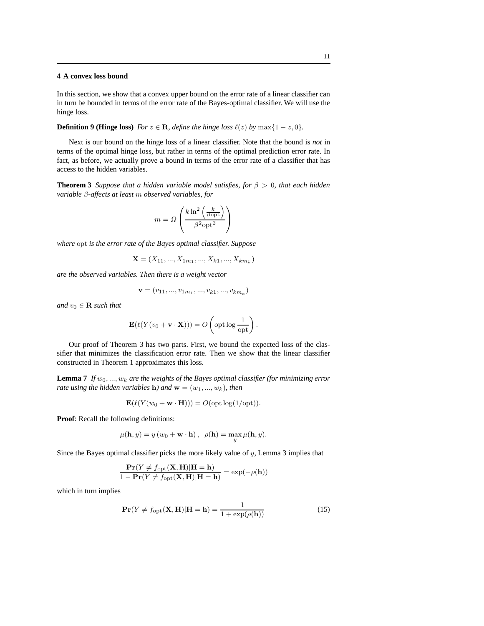# **4 A convex loss bound**

In this section, we show that a convex upper bound on the error rate of a linear classifier can in turn be bounded in terms of the error rate of the Bayes-optimal classifier. We will use the hinge loss.

**Definition 9 (Hinge loss)** *For*  $z \in \mathbb{R}$ *, define the hinge loss*  $\ell(z)$  *by* max{1 – z, 0}*.* 

Next is our bound on the hinge loss of a linear classifier. Note that the bound is *not* in terms of the optimal hinge loss, but rather in terms of the optimal prediction error rate. In fact, as before, we actually prove a bound in terms of the error rate of a classifier that has access to the hidden variables.

**Theorem 3** *Suppose that a hidden variable model satisfies, for* β > 0*, that each hidden variable* β*-affects at least* m *observed variables, for*

$$
m = \Omega \left( \frac{k \ln^2 \left( \frac{k}{\beta \text{opt}} \right)}{\beta^2 \text{opt}^2} \right)
$$

*where* opt *is the error rate of the Bayes optimal classifier. Suppose*

$$
\mathbf{X} = (X_{11}, ..., X_{1m_1}, ..., X_{k1}, ..., X_{km_k})
$$

*are the observed variables. Then there is a weight vector*

$$
\mathbf{v} = (v_{11}, ..., v_{1m_1}, ..., v_{k1}, ..., v_{km_k})
$$

*and*  $v_0 \in \mathbf{R}$  *such that* 

$$
\mathbf{E}(\ell(Y(v_0 + \mathbf{v} \cdot \mathbf{X}))) = O\left(\text{opt}\log\frac{1}{\text{opt}}\right)
$$

Our proof of Theorem 3 has two parts. First, we bound the expected loss of the classifier that minimizes the classification error rate. Then we show that the linear classifier constructed in Theorem 1 approximates this loss.

**Lemma 7** *If*  $w_0, ..., w_k$  *are the weights of the Bayes optimal classifier (for minimizing error rate using the hidden variables* **h***)* and  $\mathbf{w} = (w_1, ..., w_k)$ *, then* 

$$
\mathbf{E}(\ell(Y(w_0 + \mathbf{w} \cdot \mathbf{H}))) = O(\mathrm{opt} \log(1/\mathrm{opt})).
$$

**Proof**: Recall the following definitions:

$$
\mu(\mathbf{h}, y) = y (w_0 + \mathbf{w} \cdot \mathbf{h}), \ \rho(\mathbf{h}) = \max_{y} \mu(\mathbf{h}, y).
$$

Since the Bayes optimal classifier picks the more likely value of  $y$ , Lemma 3 implies that

$$
\frac{\mathbf{Pr}(Y \neq f_{\mathrm{opt}}(\mathbf{X}, \mathbf{H}) | \mathbf{H} = \mathbf{h})}{1 - \mathbf{Pr}(Y \neq f_{\mathrm{opt}}(\mathbf{X}, \mathbf{H}) | \mathbf{H} = \mathbf{h})} = \exp(-\rho(\mathbf{h}))
$$

which in turn implies

$$
\mathbf{Pr}(Y \neq f_{\rm opt}(\mathbf{X}, \mathbf{H}) | \mathbf{H} = \mathbf{h}) = \frac{1}{1 + \exp(\rho(\mathbf{h}))}
$$
(15)

.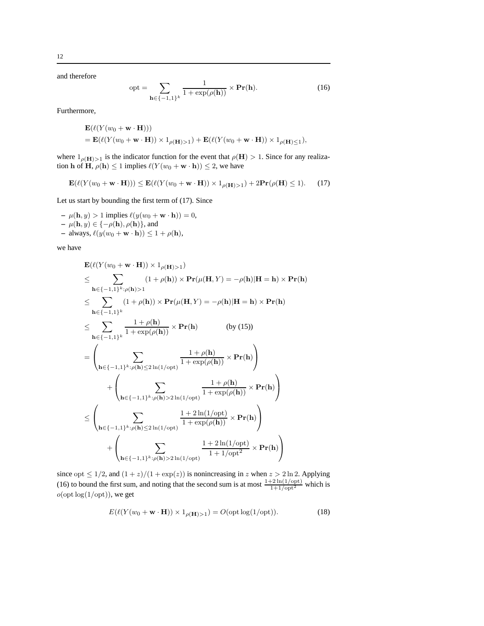and therefore

$$
opt = \sum_{\mathbf{h} \in \{-1,1\}^k} \frac{1}{1 + \exp(\rho(\mathbf{h}))} \times \mathbf{Pr}(\mathbf{h}).
$$
 (16)

Furthermore,

$$
\mathbf{E}(\ell(Y(w_0 + \mathbf{w} \cdot \mathbf{H})))
$$
  
=  $\mathbf{E}(\ell(Y(w_0 + \mathbf{w} \cdot \mathbf{H})) \times 1_{\rho(\mathbf{H})>1}) + \mathbf{E}(\ell(Y(w_0 + \mathbf{w} \cdot \mathbf{H})) \times 1_{\rho(\mathbf{H})\leq 1}),$ 

where  $1_{\rho(\mathbf{H})>1}$  is the indicator function for the event that  $\rho(\mathbf{H}) > 1$ . Since for any realization h of H,  $\rho(\mathbf{h}) \leq 1$  implies  $\ell(Y(w_0 + \mathbf{w} \cdot \mathbf{h})) \leq 2$ , we have

$$
\mathbf{E}(\ell(Y(w_0 + \mathbf{w} \cdot \mathbf{H}))) \le \mathbf{E}(\ell(Y(w_0 + \mathbf{w} \cdot \mathbf{H})) \times 1_{\rho(\mathbf{H}) > 1}) + 2\mathbf{Pr}(\rho(\mathbf{H}) \le 1). \tag{17}
$$

Let us start by bounding the first term of (17). Since

 $- \mu(\mathbf{h}, y) > 1$  implies  $\ell(y(w_0 + \mathbf{w} \cdot \mathbf{h})) = 0$ , **–** µ(h, y) ∈ {−ρ(h), ρ(h)}, and  $-$  always,  $\ell(y(w_0 + \mathbf{w} \cdot \mathbf{h})) \leq 1 + \rho(\mathbf{h}),$ 

we have

$$
\mathbf{E}(\ell(Y(w_0 + \mathbf{w} \cdot \mathbf{H})) \times 1_{\rho(\mathbf{H})>1})
$$
\n
$$
\leq \sum_{\mathbf{h} \in \{-1,1\}^k : \rho(\mathbf{h})>1} (1 + \rho(\mathbf{h})) \times \mathbf{Pr}(\mu(\mathbf{H}, Y) = -\rho(\mathbf{h}) | \mathbf{H} = \mathbf{h}) \times \mathbf{Pr}(\mathbf{h})
$$
\n
$$
\leq \sum_{\mathbf{h} \in \{-1,1\}^k} (1 + \rho(\mathbf{h})) \times \mathbf{Pr}(\mu(\mathbf{H}, Y) = -\rho(\mathbf{h}) | \mathbf{H} = \mathbf{h}) \times \mathbf{Pr}(\mathbf{h})
$$
\n
$$
\leq \sum_{\mathbf{h} \in \{-1,1\}^k} \frac{1 + \rho(\mathbf{h})}{1 + \exp(\rho(\mathbf{h}))} \times \mathbf{Pr}(\mathbf{h}) \qquad \text{(by (15))}
$$
\n
$$
= \left(\sum_{\mathbf{h} \in \{-1,1\}^k : \rho(\mathbf{h}) \leq 2 \ln(1/\text{opt})} \frac{1 + \rho(\mathbf{h})}{1 + \exp(\rho(\mathbf{h}))} \times \mathbf{Pr}(\mathbf{h})\right)
$$
\n
$$
+ \left(\sum_{\mathbf{h} \in \{-1,1\}^k : \rho(\mathbf{h}) > 2 \ln(1/\text{opt})} \frac{1 + \rho(\mathbf{h})}{1 + \exp(\rho(\mathbf{h}))} \times \mathbf{Pr}(\mathbf{h})\right)
$$
\n
$$
\leq \left(\sum_{\mathbf{h} \in \{-1,1\}^k : \rho(\mathbf{h}) \leq 2 \ln(1/\text{opt})} \frac{1 + 2 \ln(1/\text{opt})}{1 + \exp(\rho(\mathbf{h}))} \times \mathbf{Pr}(\mathbf{h})\right)
$$
\n
$$
+ \left(\sum_{\mathbf{h} \in \{-1,1\}^k : \rho(\mathbf{h}) \leq 2 \ln(1/\text{opt})} \frac{1 + 2 \ln(1/\text{opt})}{1 + 1/\text{opt}^2} \times \mathbf{Pr}(\mathbf{h})\right)
$$

since opt  $\leq 1/2$ , and  $(1 + z)/(1 + \exp(z))$  is nonincreasing in z when  $z > 2 \ln 2$ . Applying (16) to bound the first sum, and noting that the second sum is at most  $\frac{1+2\ln(1/\text{opt})}{1+1/\text{opt}^2}$  which is  $o(\text{opt log}(1/\text{opt}))$ , we get

$$
E(\ell(Y(w_0 + \mathbf{w} \cdot \mathbf{H})) \times 1_{\rho(\mathbf{H}) > 1}) = O(\text{opt log}(1/\text{opt})).
$$
\n(18)

12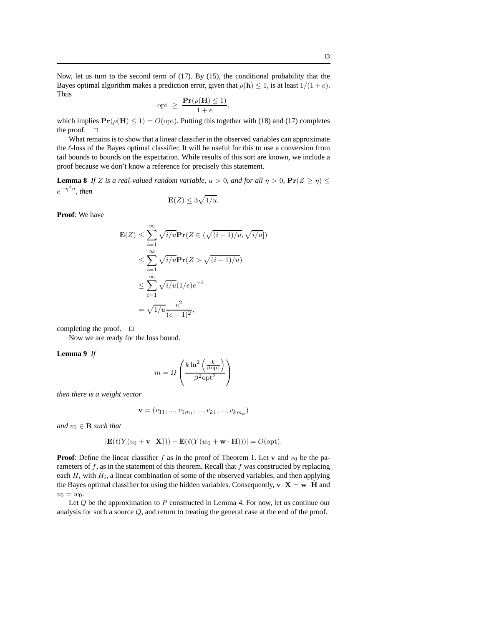Now, let us turn to the second term of (17). By (15), the conditional probability that the Bayes optimal algorithm makes a prediction error, given that  $\rho(\mathbf{h}) \leq 1$ , is at least  $1/(1+e)$ . Thus

$$
opt \geq \frac{Pr(\rho(H) \leq 1)}{1 + e},
$$

which implies  $Pr(\rho(H) \le 1) = O(\text{opt})$ . Putting this together with (18) and (17) completes the proof. ⊓⊔

What remains is to show that a linear classifier in the observed variables can approximate the ℓ-loss of the Bayes optimal classifier. It will be useful for this to use a conversion from tail bounds to bounds on the expectation. While results of this sort are known, we include a proof because we don't know a reference for precisely this statement.

**Lemma 8** *If Z is a real-valued random variable,*  $u > 0$ *, and for all*  $\eta > 0$ ,  $Pr(Z \ge \eta) \le$  $e^{-\eta^2 u}$ , then

$$
\mathbf{E}(Z) \leq 3\sqrt{1/u}.
$$

**Proof**: We have

$$
\mathbf{E}(Z) \le \sum_{i=1}^{\infty} \sqrt{i/u} \mathbf{Pr}(Z \in (\sqrt{(i-1)/u}, \sqrt{i/u}])
$$
  
\n
$$
\le \sum_{i=1}^{\infty} \sqrt{i/u} \mathbf{Pr}(Z > \sqrt{(i-1)/u})
$$
  
\n
$$
\le \sum_{i=1}^{\infty} \sqrt{i/u} (1/e)e^{-i}
$$
  
\n
$$
= \sqrt{1/u} \frac{e^2}{(e-1)^2},
$$

completing the proof. ⊓⊔

Now we are ready for the loss bound.

#### **Lemma 9** *If*

$$
m = \Omega \left( \frac{k \ln^2 \left( \frac{k}{\beta \text{opt}} \right)}{\beta^2 \text{opt}^2} \right)
$$

*then there is a weight vector*

$$
\mathbf{v} = (v_{11}, ..., v_{1m_1}, ..., v_{k1}, ..., v_{km_k})
$$

*and*  $v_0 \in \mathbf{R}$  *such that* 

$$
|\mathbf{E}(\ell(Y(v_0+\mathbf{v}\cdot\mathbf{X})))-\mathbf{E}(\ell(Y(w_0+\mathbf{w}\cdot\mathbf{H})))|=O(\mathrm{opt}).
$$

**Proof:** Define the linear classifier f as in the proof of Theorem 1. Let v and  $v_0$  be the parameters of  $f$ , as in the statement of this theorem. Recall that  $f$  was constructed by replacing each  $H_i$  with  $\hat{H}_i$ , a linear combination of some of the observed variables, and then applying the Bayes optimal classifier for using the hidden variables. Consequently,  $\mathbf{v} \cdot \mathbf{X} = \mathbf{w} \cdot \hat{\mathbf{H}}$  and  $v_0 = w_0$ .

Let Q be the approximation to P constructed in Lemma 4. For now, let us continue our analysis for such a source  $Q$ , and return to treating the general case at the end of the proof.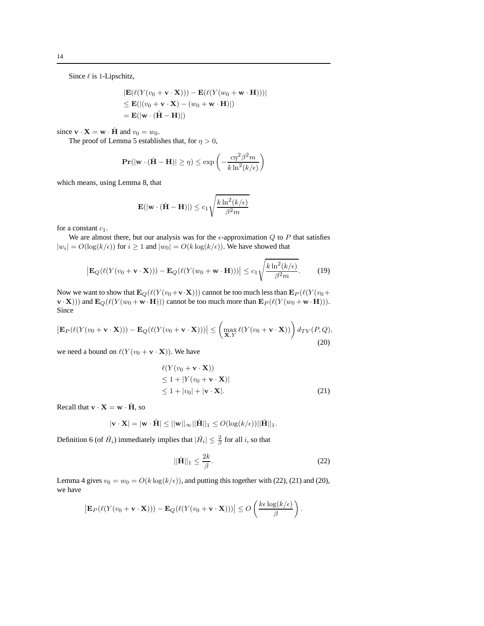Since  $\ell$  is 1-Lipschitz,

$$
|\mathbf{E}(\ell(Y(v_0 + \mathbf{v} \cdot \mathbf{X}))) - \mathbf{E}(\ell(Y(w_0 + \mathbf{w} \cdot \mathbf{H})))|
$$
  
\n
$$
\leq \mathbf{E}(|(v_0 + \mathbf{v} \cdot \mathbf{X}) - (w_0 + \mathbf{w} \cdot \mathbf{H})|)
$$
  
\n
$$
= \mathbf{E}(|\mathbf{w} \cdot (\hat{\mathbf{H}} - \mathbf{H})|)
$$

since  $\mathbf{v} \cdot \mathbf{X} = \mathbf{w} \cdot \hat{\mathbf{H}}$  and  $v_0 = w_0$ .

The proof of Lemma 5 establishes that, for  $\eta > 0$ ,

$$
\mathbf{Pr}(|\mathbf{w} \cdot (\hat{\mathbf{H}} - \mathbf{H})| \ge \eta) \le \exp\left(-\frac{c\eta^2 \beta^2 m}{k \ln^2(k/\epsilon)}\right)
$$

which means, using Lemma 8, that

$$
\mathbf{E}(|\mathbf{w} \cdot (\hat{\mathbf{H}} - \mathbf{H})|) \le c_1 \sqrt{\frac{k \ln^2(k/\epsilon)}{\beta^2 m}}
$$

for a constant  $c_1$ .

We are almost there, but our analysis was for the  $\epsilon$ -approximation Q to P that satisfies  $|w_i| = O(\log(k/\epsilon))$  for  $i \ge 1$  and  $|w_0| = O(k \log(k/\epsilon))$ . We have showed that

$$
\left| \mathbf{E}_{Q}(\ell(Y(v_{0} + \mathbf{v} \cdot \mathbf{X}))) - \mathbf{E}_{Q}(\ell(Y(w_{0} + \mathbf{w} \cdot \mathbf{H}))) \right| \le c_{1} \sqrt{\frac{k \ln^{2}(k/\epsilon)}{\beta^{2} m}}.
$$
 (19)

Now we want to show that  $\mathbf{E}_Q(\ell(Y(v_0+\mathbf{v}\cdot\mathbf{X})))$  cannot be too much less than  $\mathbf{E}_P(\ell(Y(v_0+\mathbf{v}\cdot\mathbf{X})))$  $\mathbf{v} \cdot \mathbf{X}$ ))) and  $\mathbf{E}_Q(\ell(Y(w_0 + \mathbf{w} \cdot \mathbf{H})))$  cannot be too much more than  $\mathbf{E}_P(\ell(Y(w_0 + \mathbf{w} \cdot \mathbf{H})))$ . Since

$$
\left| \mathbf{E}_P(\ell(Y(v_0 + \mathbf{v} \cdot \mathbf{X}))) - \mathbf{E}_Q(\ell(Y(v_0 + \mathbf{v} \cdot \mathbf{X}))) \right| \leq \left( \max_{\mathbf{X}, Y} \ell(Y(v_0 + \mathbf{v} \cdot \mathbf{X})) \right) d_{TV}(P, Q),
$$
\n(20)

we need a bound on  $\ell(Y(v_0 + \mathbf{v} \cdot \mathbf{X}))$ . We have

$$
\ell(Y(v_0 + \mathbf{v} \cdot \mathbf{X}))
$$
  
\n
$$
\leq 1 + |Y(v_0 + \mathbf{v} \cdot \mathbf{X})|
$$
  
\n
$$
\leq 1 + |v_0| + |\mathbf{v} \cdot \mathbf{X}|.
$$
\n(21)

Recall that  $\mathbf{v} \cdot \mathbf{X} = \mathbf{w} \cdot \hat{\mathbf{H}}$ , so

$$
|\mathbf{v} \cdot \mathbf{X}| = |\mathbf{w} \cdot \hat{\mathbf{H}}| \le ||\mathbf{w}||_{\infty} ||\hat{\mathbf{H}}||_1 \le O(\log(k/\epsilon)) ||\hat{\mathbf{H}}||_1.
$$

Definition 6 (of  $\hat{H}_i$ ) immediately implies that  $|\hat{H}_i| \leq \frac{2}{\beta}$  for all *i*, so that

$$
||\hat{\mathbf{H}}||_1 \le \frac{2k}{\beta}.\tag{22}
$$

Lemma 4 gives  $v_0 = w_0 = O(k \log(k/\epsilon))$ , and putting this together with (22), (21) and (20), we have

$$
\left|\mathbf{E}_P(\ell(Y(v_0+\mathbf{v}\cdot\mathbf{X})))-\mathbf{E}_Q(\ell(Y(v_0+\mathbf{v}\cdot\mathbf{X})))\right|\leq O\left(\frac{k\epsilon\log(k/\epsilon)}{\beta}\right).
$$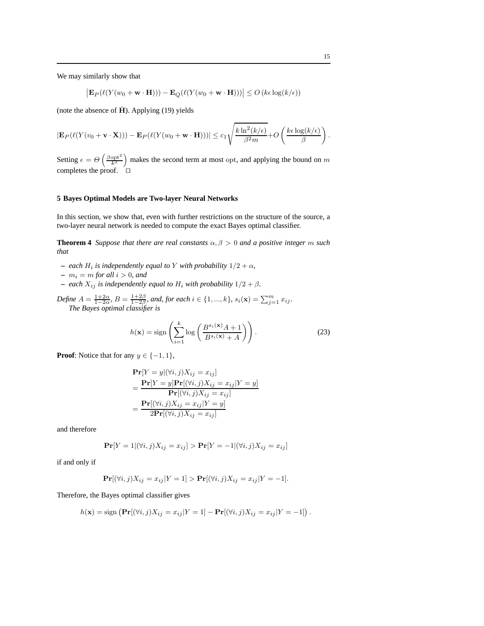We may similarly show that

$$
\big|\mathbf{E}_P(\ell(Y(w_0 + \mathbf{w} \cdot \mathbf{H}))) - \mathbf{E}_Q(\ell(Y(w_0 + \mathbf{w} \cdot \mathbf{H})))\big| \le O\left(k\epsilon \log(k/\epsilon)\right)
$$

(note the absence of  $\hat{H}$ ). Applying (19) yields

$$
|\mathbf{E}_P(\ell(Y(v_0+\mathbf{v}\cdot\mathbf{X}))) - \mathbf{E}_P(\ell(Y(w_0+\mathbf{w}\cdot\mathbf{H})))| \le c_1 \sqrt{\frac{k \ln^2(k/\epsilon)}{\beta^2 m}} + O\left(\frac{k\epsilon \log(k/\epsilon)}{\beta}\right).
$$

Setting  $\epsilon = \Theta\left(\frac{\beta opt^2}{k^2}\right)$  makes the second term at most opt, and applying the bound on m completes the proof. ⊓⊔

#### **5 Bayes Optimal Models are Two-layer Neural Networks**

In this section, we show that, even with further restrictions on the structure of the source, a two-layer neural network is needed to compute the exact Bayes optimal classifier.

**Theorem 4** *Suppose that there are real constants*  $\alpha, \beta > 0$  *and a positive integer* m *such that*

- $-$  *each*  $H_i$  *is independently equal to* Y *with probability*  $1/2 + \alpha$ *,*
- $m_i = m$  *for all*  $i > 0$ *, and*
- **–** *each*  $X_{ij}$  *is independently equal to*  $H_i$  *with probability*  $1/2 + \beta$ *.*
- *Define*  $A = \frac{1+2\alpha}{1-2\alpha}$ ,  $B = \frac{1+2\beta}{1-2\beta}$ , and, for each  $i \in \{1, ..., k\}$ ,  $s_i(\mathbf{x}) = \sum_{j=1}^m x_{ij}$ . *The Bayes optimal classifier is*

$$
h(\mathbf{x}) = \text{sign}\left(\sum_{i=1}^{k} \log\left(\frac{B^{s_i(\mathbf{x})}A + 1}{B^{s_i(\mathbf{x})} + A}\right)\right).
$$
 (23)

**Proof:** Notice that for any  $y \in \{-1, 1\}$ ,

$$
\begin{aligned} \mathbf{Pr}[Y = y | (\forall i, j) X_{ij} = x_{ij}] \\ &= \frac{\mathbf{Pr}[Y = y] \mathbf{Pr}[(\forall i, j) X_{ij} = x_{ij} | Y = y]}{\mathbf{Pr}[(\forall i, j) X_{ij} = x_{ij}]} \\ &= \frac{\mathbf{Pr}[(\forall i, j) X_{ij} = x_{ij} | Y = y]}{2\mathbf{Pr}[(\forall i, j) X_{ij} = x_{ij}]} \end{aligned}
$$

and therefore

$$
\mathbf{Pr}[Y = 1 | (\forall i, j) X_{ij} = x_{ij}] > \mathbf{Pr}[Y = -1 | (\forall i, j) X_{ij} = x_{ij}]
$$

if and only if

$$
\mathbf{Pr}[(\forall i, j)X_{ij} = x_{ij}|Y = 1] > \mathbf{Pr}[(\forall i, j)X_{ij} = x_{ij}|Y = -1].
$$

Therefore, the Bayes optimal classifier gives

$$
h(\mathbf{x}) = \text{sign}\left(\mathbf{Pr}[(\forall i, j)X_{ij} = x_{ij}|Y = 1] - \mathbf{Pr}[(\forall i, j)X_{ij} = x_{ij}|Y = -1]\right).
$$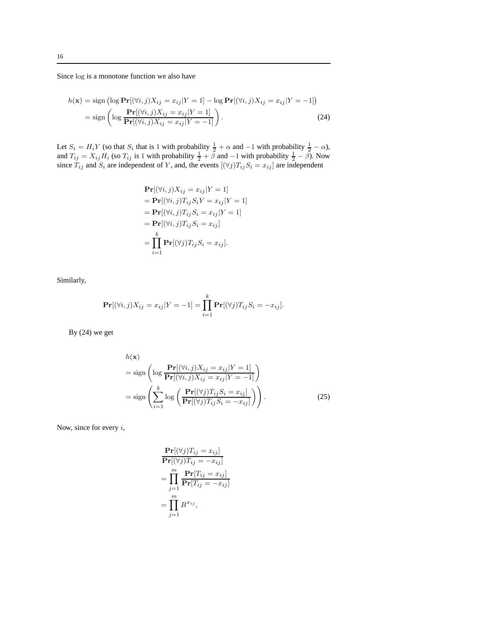Since log is a monotone function we also have

$$
h(\mathbf{x}) = \text{sign} \left( \log \mathbf{Pr}[(\forall i, j) X_{ij} = x_{ij} | Y = 1] - \log \mathbf{Pr}[(\forall i, j) X_{ij} = x_{ij} | Y = -1] \right)
$$
  
= sign 
$$
\left( \log \frac{\mathbf{Pr}[(\forall i, j) X_{ij} = x_{ij} | Y = 1]}{\mathbf{Pr}[(\forall i, j) X_{ij} = x_{ij} | Y = -1]} \right).
$$
(24)

Let  $S_i = H_i Y$  (so that  $S_i$  that is 1 with probability  $\frac{1}{2} + \alpha$  and  $-1$  with probability  $\frac{1}{2} - \alpha$ ), and  $T_{ij} = X_{ij}H_i$  (so  $T_{ij}$  is 1 with probability  $\frac{1}{2} + \tilde{\beta}$  and  $-1$  with probability  $\frac{1}{2} - \tilde{\beta}$ ). Now since  $T_{ij}$  and  $S_i$  are independent of Y, and, the events  $[(\forall j)T_{ij}S_i = x_{ij}]$  are independent

$$
\begin{aligned} \mathbf{Pr}[(\forall i, j)X_{ij} = x_{ij}|Y = 1] \\ &= \mathbf{Pr}[(\forall i, j)T_{ij}S_iY = x_{ij}|Y = 1] \\ &= \mathbf{Pr}[(\forall i, j)T_{ij}S_i = x_{ij}|Y = 1] \\ &= \mathbf{Pr}[(\forall i, j)T_{ij}S_i = x_{ij}] \\ &= \prod_{i=1}^k \mathbf{Pr}[(\forall j)T_{ij}S_i = x_{ij}]. \end{aligned}
$$

Similarly,

$$
\Pr[(\forall i, j)X_{ij} = x_{ij}|Y = -1] = \prod_{i=1}^{k} \Pr[(\forall j)T_{ij}S_i = -x_{ij}].
$$

By (24) we get

$$
h(\mathbf{x})
$$
  
= sign  $\left( \log \frac{\mathbf{Pr}[(\forall i, j)X_{ij} = x_{ij}|Y = 1]}{\mathbf{Pr}[(\forall i, j)X_{ij} = x_{ij}|Y = -1]} \right)$   
= sign  $\left( \sum_{i=1}^{k} \log \left( \frac{\mathbf{Pr}[(\forall j)T_{ij}S_i = x_{ij}]}{\mathbf{Pr}[(\forall j)T_{ij}S_i = -x_{ij}]} \right) \right)$ . (25)

Now, since for every  $i$ ,

$$
\begin{aligned} &\mathbf{Pr}[(\forall j)T_{ij} = x_{ij}] \\ &\mathbf{Pr}[(\forall j)T_{ij} = -x_{ij}] \\ &= \prod_{j=1}^{m} \frac{\mathbf{Pr}[T_{ij} = x_{ij}]}{\mathbf{Pr}[T_{ij} = -x_{ij}]} \\ &= \prod_{j=1}^{m} B^{x_{ij}}, \end{aligned}
$$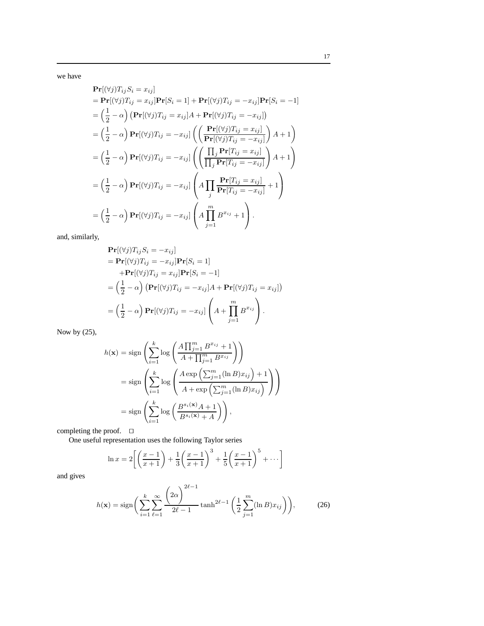we have

$$
\begin{split}\n&\mathbf{Pr}[(\forall j)T_{ij}S_i = x_{ij}] \\
&= \mathbf{Pr}[(\forall j)T_{ij} = x_{ij}]\mathbf{Pr}[S_i = 1] + \mathbf{Pr}[(\forall j)T_{ij} = -x_{ij}]\mathbf{Pr}[S_i = -1] \\
&= \left(\frac{1}{2} - \alpha\right)\left(\mathbf{Pr}[(\forall j)T_{ij} = x_{ij}]A + \mathbf{Pr}[(\forall j)T_{ij} = -x_{ij}]\right) \\
&= \left(\frac{1}{2} - \alpha\right)\mathbf{Pr}[(\forall j)T_{ij} = -x_{ij}]\left(\left(\frac{\mathbf{Pr}[(\forall j)T_{ij} = x_{ij}]}{\mathbf{Pr}[(\forall j)T_{ij} = -x_{ij}]}A + 1\right)\right) \\
&= \left(\frac{1}{2} - \alpha\right)\mathbf{Pr}[(\forall j)T_{ij} = -x_{ij}]\left(\left(\frac{\prod_j \mathbf{Pr}[T_{ij} = x_{ij}]}{\prod_j \mathbf{Pr}[T_{ij} = -x_{ij}]}A + 1\right)\right) \\
&= \left(\frac{1}{2} - \alpha\right)\mathbf{Pr}[(\forall j)T_{ij} = -x_{ij}]\left(A\prod_j \frac{\mathbf{Pr}[T_{ij} = x_{ij}]}{\mathbf{Pr}[T_{ij} = -x_{ij}]} + 1\right) \\
&= \left(\frac{1}{2} - \alpha\right)\mathbf{Pr}[(\forall j)T_{ij} = -x_{ij}]\left(A\prod_j \frac{\mathbf{Pr}[T_{ij} = x_{ij}]}{\mathbf{Pr}[T_{ij} = -x_{ij}]} + 1\right).\n\end{split}
$$

and, similarly,

$$
\begin{split} &\mathbf{Pr}[(\forall j)T_{ij}S_i = -x_{ij}] \\ &= \mathbf{Pr}[(\forall j)T_{ij} = -x_{ij}]\mathbf{Pr}[S_i = 1] \\ &+ \mathbf{Pr}[(\forall j)T_{ij} = x_{ij}]\mathbf{Pr}[S_i = -1] \\ &= \left(\frac{1}{2} - \alpha\right) \left(\mathbf{Pr}[(\forall j)T_{ij} = -x_{ij}]A + \mathbf{Pr}[(\forall j)T_{ij} = x_{ij}]\right) \\ &= \left(\frac{1}{2} - \alpha\right) \mathbf{Pr}[(\forall j)T_{ij} = -x_{ij}]\left(A + \prod_{j=1}^{m} B^{x_{ij}}\right). \end{split}
$$

Now by (25),

$$
h(\mathbf{x}) = \text{sign}\left(\sum_{i=1}^{k} \log\left(\frac{A\prod_{j=1}^{m} B^{x_{ij}} + 1}{A + \prod_{j=1}^{m} B^{x_{ij}}}\right)\right)
$$
  
= sign  $\left(\sum_{i=1}^{k} \log\left(\frac{A \exp\left(\sum_{j=1}^{m} (\ln B) x_{ij}\right) + 1}{A + \exp\left(\sum_{j=1}^{m} (\ln B) x_{ij}\right)}\right)\right)$   
= sign  $\left(\sum_{i=1}^{k} \log\left(\frac{B^{s_i(\mathbf{x})} A + 1}{B^{s_i(\mathbf{x})} + A}\right)\right)$ ,

completing the proof. ⊓⊔

One useful representation uses the following Taylor series

$$
\ln x = 2\left[ \left( \frac{x-1}{x+1} \right) + \frac{1}{3} \left( \frac{x-1}{x+1} \right)^3 + \frac{1}{5} \left( \frac{x-1}{x+1} \right)^5 + \dots \right]
$$

and gives

$$
h(\mathbf{x}) = \text{sign}\bigg(\sum_{i=1}^{k} \sum_{\ell=1}^{\infty} \frac{\left(2\alpha\right)^{2\ell-1}}{2\ell-1} \tanh^{2\ell-1}\bigg(\frac{1}{2} \sum_{j=1}^{m} (\ln B) x_{ij}\bigg)\bigg),\tag{26}
$$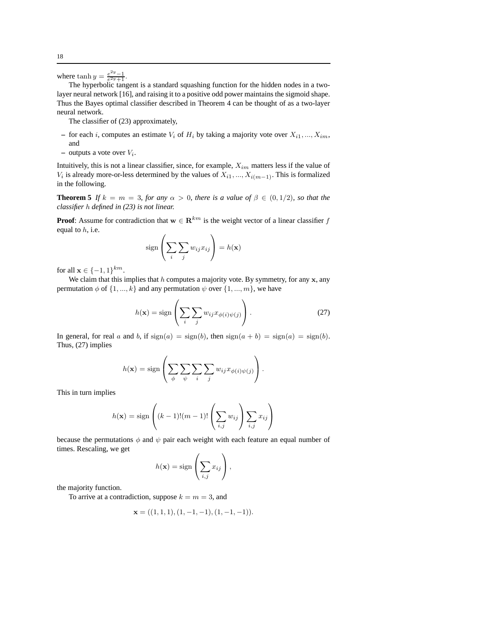where  $\tanh y = \frac{e^{2y}-1}{e^{2y}+1}$ .

The hyperbolic tangent is a standard squashing function for the hidden nodes in a twolayer neural network [16], and raising it to a positive odd power maintains the sigmoid shape. Thus the Bayes optimal classifier described in Theorem 4 can be thought of as a two-layer neural network.

The classifier of (23) approximately,

- for each i, computes an estimate  $V_i$  of  $H_i$  by taking a majority vote over  $X_{i1}, ..., X_{im}$ , and
- $-$  outputs a vote over  $V_i$ .

Intuitively, this is not a linear classifier, since, for example,  $X_{im}$  matters less if the value of  $V_i$  is already more-or-less determined by the values of  $X_{i1}, ..., X_{i(m-1)}$ . This is formalized in the following.

**Theorem 5** *If*  $k = m = 3$ *, for any*  $\alpha > 0$ *, there is a value of*  $\beta \in (0, 1/2)$ *, so that the classifier* h *defined in (23) is not linear.*

**Proof**: Assume for contradiction that  $\mathbf{w} \in \mathbb{R}^{km}$  is the weight vector of a linear classifier f equal to  $h$ , i.e.  $\overline{ }$ 

$$
sign\left(\sum_{i}\sum_{j}w_{ij}x_{ij}\right) = h(\mathbf{x})
$$

for all  $\mathbf{x} \in \{-1, 1\}^{km}$ .

We claim that this implies that  $h$  computes a majority vote. By symmetry, for any  $x$ , any permutation  $\phi$  of  $\{1, ..., k\}$  and any permutation  $\psi$  over  $\{1, ..., m\}$ , we have

$$
h(\mathbf{x}) = \text{sign}\left(\sum_{i} \sum_{j} w_{ij} x_{\phi(i)\psi(j)}\right). \tag{27}
$$

In general, for real a and b, if  $sign(a) = sign(b)$ , then  $sign(a + b) = sign(a) = sign(b)$ . Thus, (27) implies

$$
h(\mathbf{x}) = \text{sign}\left(\sum_{\phi} \sum_{\psi} \sum_{i} \sum_{j} w_{ij} x_{\phi(i)\psi(j)}\right).
$$

This in turn implies

$$
h(\mathbf{x}) = \text{sign}\left((k-1)!(m-1)!\left(\sum_{i,j} w_{ij}\right)\sum_{i,j} x_{ij}\right)
$$

because the permutations  $\phi$  and  $\psi$  pair each weight with each feature an equal number of times. Rescaling, we get

$$
h(\mathbf{x}) = \text{sign}\left(\sum_{i,j} x_{ij}\right),\,
$$

the majority function.

To arrive at a contradiction, suppose  $k = m = 3$ , and

$$
\mathbf{x} = ((1, 1, 1), (1, -1, -1), (1, -1, -1)).
$$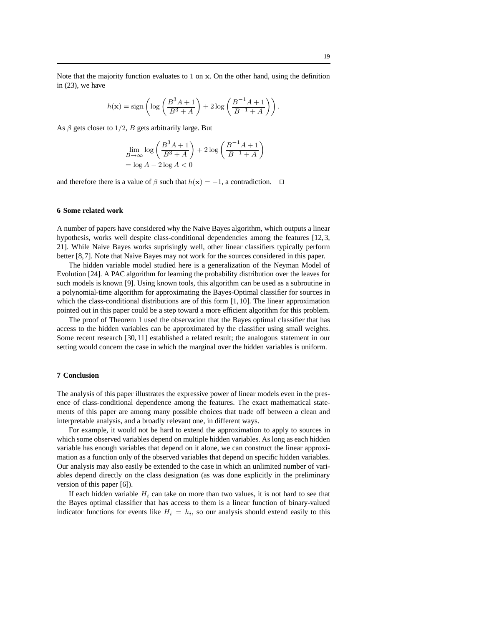Note that the majority function evaluates to 1 on x. On the other hand, using the definition in (23), we have

$$
h(\mathbf{x}) = \text{sign}\left(\log\left(\frac{B^3A + 1}{B^3 + A}\right) + 2\log\left(\frac{B^{-1}A + 1}{B^{-1} + A}\right)\right).
$$

As  $\beta$  gets closer to 1/2, B gets arbitrarily large. But

$$
\lim_{B \to \infty} \log \left( \frac{B^3 A + 1}{B^3 + A} \right) + 2 \log \left( \frac{B^{-1} A + 1}{B^{-1} + A} \right)
$$

$$
= \log A - 2 \log A < 0
$$

and therefore there is a value of  $\beta$  such that  $h(\mathbf{x}) = -1$ , a contradiction.  $\Box$ 

#### **6 Some related work**

A number of papers have considered why the Naive Bayes algorithm, which outputs a linear hypothesis, works well despite class-conditional dependencies among the features [12,3, 21]. While Naive Bayes works suprisingly well, other linear classifiers typically perform better [8,7]. Note that Naive Bayes may not work for the sources considered in this paper.

The hidden variable model studied here is a generalization of the Neyman Model of Evolution [24]. A PAC algorithm for learning the probability distribution over the leaves for such models is known [9]. Using known tools, this algorithm can be used as a subroutine in a polynomial-time algorithm for approximating the Bayes-Optimal classifier for sources in which the class-conditional distributions are of this form [1,10]. The linear approximation pointed out in this paper could be a step toward a more efficient algorithm for this problem.

The proof of Theorem 1 used the observation that the Bayes optimal classifier that has access to the hidden variables can be approximated by the classifier using small weights. Some recent research [30,11] established a related result; the analogous statement in our setting would concern the case in which the marginal over the hidden variables is uniform.

#### **7 Conclusion**

The analysis of this paper illustrates the expressive power of linear models even in the presence of class-conditional dependence among the features. The exact mathematical statements of this paper are among many possible choices that trade off between a clean and interpretable analysis, and a broadly relevant one, in different ways.

For example, it would not be hard to extend the approximation to apply to sources in which some observed variables depend on multiple hidden variables. As long as each hidden variable has enough variables that depend on it alone, we can construct the linear approximation as a function only of the observed variables that depend on specific hidden variables. Our analysis may also easily be extended to the case in which an unlimited number of variables depend directly on the class designation (as was done explicitly in the preliminary version of this paper [6]).

If each hidden variable  $H_i$  can take on more than two values, it is not hard to see that the Bayes optimal classifier that has access to them is a linear function of binary-valued indicator functions for events like  $H_i = h_i$ , so our analysis should extend easily to this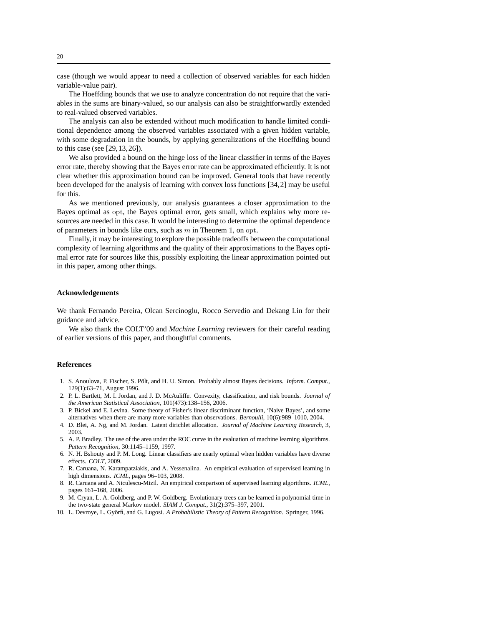case (though we would appear to need a collection of observed variables for each hidden variable-value pair).

The Hoeffding bounds that we use to analyze concentration do not require that the variables in the sums are binary-valued, so our analysis can also be straightforwardly extended to real-valued observed variables.

The analysis can also be extended without much modification to handle limited conditional dependence among the observed variables associated with a given hidden variable, with some degradation in the bounds, by applying generalizations of the Hoeffding bound to this case (see [29,13,26]).

We also provided a bound on the hinge loss of the linear classifier in terms of the Bayes error rate, thereby showing that the Bayes error rate can be approximated efficiently. It is not clear whether this approximation bound can be improved. General tools that have recently been developed for the analysis of learning with convex loss functions [34,2] may be useful for this.

As we mentioned previously, our analysis guarantees a closer approximation to the Bayes optimal as opt, the Bayes optimal error, gets small, which explains why more resources are needed in this case. It would be interesting to determine the optimal dependence of parameters in bounds like ours, such as  $m$  in Theorem 1, on opt.

Finally, it may be interesting to explore the possible tradeoffs between the computational complexity of learning algorithms and the quality of their approximations to the Bayes optimal error rate for sources like this, possibly exploiting the linear approximation pointed out in this paper, among other things.

#### **Acknowledgements**

We thank Fernando Pereira, Olcan Sercinoglu, Rocco Servedio and Dekang Lin for their guidance and advice.

We also thank the COLT'09 and *Machine Learning* reviewers for their careful reading of earlier versions of this paper, and thoughtful comments.

## **References**

- 1. S. Anoulova, P. Fischer, S. Pölt, and H. U. Simon. Probably almost Bayes decisions. *Inform. Comput.*, 129(1):63–71, August 1996.
- 2. P. L. Bartlett, M. I. Jordan, and J. D. McAuliffe. Convexity, classification, and risk bounds. *Journal of the American Statistical Association*, 101(473):138–156, 2006.
- 3. P. Bickel and E. Levina. Some theory of Fisher's linear discriminant function, 'Naive Bayes', and some alternatives when there are many more variables than observations. *Bernoulli*, 10(6):989–1010, 2004.
- 4. D. Blei, A. Ng, and M. Jordan. Latent dirichlet allocation. *Journal of Machine Learning Research*, 3, 2003.
- 5. A. P. Bradley. The use of the area under the ROC curve in the evaluation of machine learning algorithms. *Pattern Recognition*, 30:1145–1159, 1997.
- 6. N. H. Bshouty and P. M. Long. Linear classifiers are nearly optimal when hidden variables have diverse effects. *COLT*, 2009.
- 7. R. Caruana, N. Karampatziakis, and A. Yessenalina. An empirical evaluation of supervised learning in high dimensions. *ICML*, pages 96–103, 2008.
- 8. R. Caruana and A. Niculescu-Mizil. An empirical comparison of supervised learning algorithms. *ICML*, pages 161–168, 2006.
- 9. M. Cryan, L. A. Goldberg, and P. W. Goldberg. Evolutionary trees can be learned in polynomial time in the two-state general Markov model. *SIAM J. Comput.*, 31(2):375–397, 2001.
- 10. L. Devroye, L. Györfi, and G. Lugosi. *A Probabilistic Theory of Pattern Recognition*. Springer, 1996.